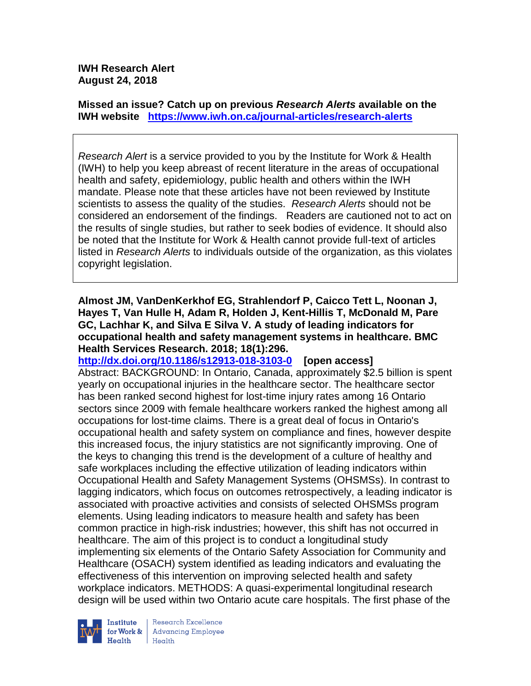### **IWH Research Alert August 24, 2018**

**Missed an issue? Catch up on previous** *Research Alerts* **available on the [IWH website](http://www.iwh.on.ca/research-alerts) <https://www.iwh.on.ca/journal-articles/research-alerts>**

*Research Alert* is a service provided to you by the Institute for Work & Health (IWH) to help you keep abreast of recent literature in the areas of occupational health and safety, epidemiology, public health and others within the IWH mandate. Please note that these articles have not been reviewed by Institute scientists to assess the quality of the studies. *Research Alerts* should not be considered an endorsement of the findings. Readers are cautioned not to act on the results of single studies, but rather to seek bodies of evidence. It should also be noted that the Institute for Work & Health cannot provide full-text of articles listed in *Research Alerts* to individuals outside of the organization, as this violates copyright legislation.

**Almost JM, VanDenKerkhof EG, Strahlendorf P, Caicco Tett L, Noonan J, Hayes T, Van Hulle H, Adam R, Holden J, Kent-Hillis T, McDonald M, Pare GC, Lachhar K, and Silva E Silva V. A study of leading indicators for occupational health and safety management systems in healthcare. BMC Health Services Research. 2018; 18(1):296.**

**<http://dx.doi.org/10.1186/s12913-018-3103-0>[open access]** Abstract: BACKGROUND: In Ontario, Canada, approximately \$2.5 billion is spent yearly on occupational injuries in the healthcare sector. The healthcare sector has been ranked second highest for lost-time injury rates among 16 Ontario sectors since 2009 with female healthcare workers ranked the highest among all occupations for lost-time claims. There is a great deal of focus in Ontario's occupational health and safety system on compliance and fines, however despite this increased focus, the injury statistics are not significantly improving. One of the keys to changing this trend is the development of a culture of healthy and safe workplaces including the effective utilization of leading indicators within Occupational Health and Safety Management Systems (OHSMSs). In contrast to lagging indicators, which focus on outcomes retrospectively, a leading indicator is associated with proactive activities and consists of selected OHSMSs program elements. Using leading indicators to measure health and safety has been common practice in high-risk industries; however, this shift has not occurred in healthcare. The aim of this project is to conduct a longitudinal study implementing six elements of the Ontario Safety Association for Community and Healthcare (OSACH) system identified as leading indicators and evaluating the effectiveness of this intervention on improving selected health and safety workplace indicators. METHODS: A quasi-experimental longitudinal research design will be used within two Ontario acute care hospitals. The first phase of the

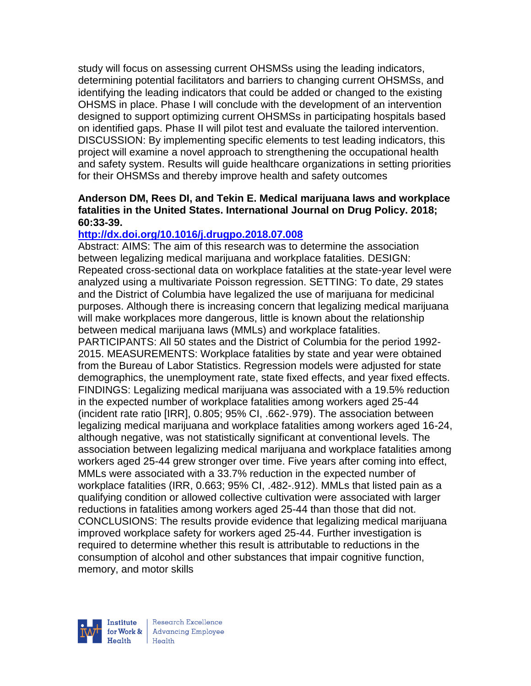study will focus on assessing current OHSMSs using the leading indicators, determining potential facilitators and barriers to changing current OHSMSs, and identifying the leading indicators that could be added or changed to the existing OHSMS in place. Phase I will conclude with the development of an intervention designed to support optimizing current OHSMSs in participating hospitals based on identified gaps. Phase II will pilot test and evaluate the tailored intervention. DISCUSSION: By implementing specific elements to test leading indicators, this project will examine a novel approach to strengthening the occupational health and safety system. Results will guide healthcare organizations in setting priorities for their OHSMSs and thereby improve health and safety outcomes

### **Anderson DM, Rees DI, and Tekin E. Medical marijuana laws and workplace fatalities in the United States. International Journal on Drug Policy. 2018; 60:33-39.**

## **<http://dx.doi.org/10.1016/j.drugpo.2018.07.008>**

Abstract: AIMS: The aim of this research was to determine the association between legalizing medical marijuana and workplace fatalities. DESIGN: Repeated cross-sectional data on workplace fatalities at the state-year level were analyzed using a multivariate Poisson regression. SETTING: To date, 29 states and the District of Columbia have legalized the use of marijuana for medicinal purposes. Although there is increasing concern that legalizing medical marijuana will make workplaces more dangerous, little is known about the relationship between medical marijuana laws (MMLs) and workplace fatalities.

PARTICIPANTS: All 50 states and the District of Columbia for the period 1992- 2015. MEASUREMENTS: Workplace fatalities by state and year were obtained from the Bureau of Labor Statistics. Regression models were adjusted for state demographics, the unemployment rate, state fixed effects, and year fixed effects. FINDINGS: Legalizing medical marijuana was associated with a 19.5% reduction in the expected number of workplace fatalities among workers aged 25-44 (incident rate ratio [IRR], 0.805; 95% CI, .662-.979). The association between legalizing medical marijuana and workplace fatalities among workers aged 16-24, although negative, was not statistically significant at conventional levels. The association between legalizing medical marijuana and workplace fatalities among workers aged 25-44 grew stronger over time. Five years after coming into effect, MMLs were associated with a 33.7% reduction in the expected number of workplace fatalities (IRR, 0.663; 95% CI, .482-.912). MMLs that listed pain as a qualifying condition or allowed collective cultivation were associated with larger reductions in fatalities among workers aged 25-44 than those that did not. CONCLUSIONS: The results provide evidence that legalizing medical marijuana improved workplace safety for workers aged 25-44. Further investigation is required to determine whether this result is attributable to reductions in the consumption of alcohol and other substances that impair cognitive function, memory, and motor skills

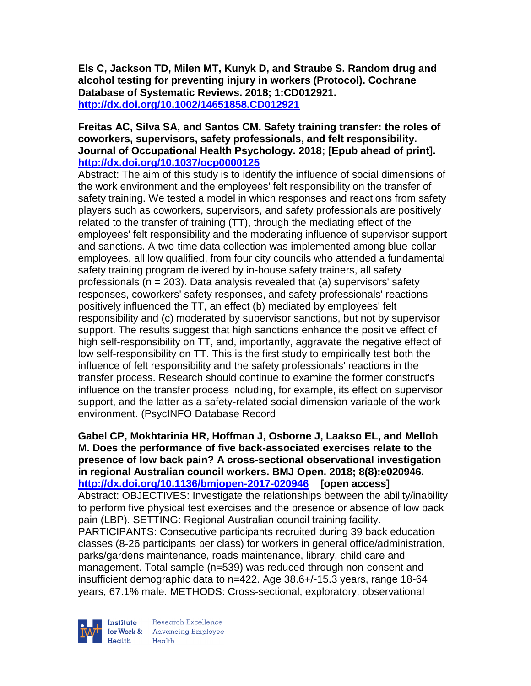**Els C, Jackson TD, Milen MT, Kunyk D, and Straube S. Random drug and alcohol testing for preventing injury in workers (Protocol). Cochrane Database of Systematic Reviews. 2018; 1:CD012921. <http://dx.doi.org/10.1002/14651858.CD012921>**

### **Freitas AC, Silva SA, and Santos CM. Safety training transfer: the roles of coworkers, supervisors, safety professionals, and felt responsibility. Journal of Occupational Health Psychology. 2018; [Epub ahead of print]. <http://dx.doi.org/10.1037/ocp0000125>**

Abstract: The aim of this study is to identify the influence of social dimensions of the work environment and the employees' felt responsibility on the transfer of safety training. We tested a model in which responses and reactions from safety players such as coworkers, supervisors, and safety professionals are positively related to the transfer of training (TT), through the mediating effect of the employees' felt responsibility and the moderating influence of supervisor support and sanctions. A two-time data collection was implemented among blue-collar employees, all low qualified, from four city councils who attended a fundamental safety training program delivered by in-house safety trainers, all safety professionals ( $n = 203$ ). Data analysis revealed that (a) supervisors' safety responses, coworkers' safety responses, and safety professionals' reactions positively influenced the TT, an effect (b) mediated by employees' felt responsibility and (c) moderated by supervisor sanctions, but not by supervisor support. The results suggest that high sanctions enhance the positive effect of high self-responsibility on TT, and, importantly, aggravate the negative effect of low self-responsibility on TT. This is the first study to empirically test both the influence of felt responsibility and the safety professionals' reactions in the transfer process. Research should continue to examine the former construct's influence on the transfer process including, for example, its effect on supervisor support, and the latter as a safety-related social dimension variable of the work environment. (PsycINFO Database Record

**Gabel CP, Mokhtarinia HR, Hoffman J, Osborne J, Laakso EL, and Melloh M. Does the performance of five back-associated exercises relate to the presence of low back pain? A cross-sectional observational investigation in regional Australian council workers. BMJ Open. 2018; 8(8):e020946. <http://dx.doi.org/10.1136/bmjopen-2017-020946>[open access]** Abstract: OBJECTIVES: Investigate the relationships between the ability/inability to perform five physical test exercises and the presence or absence of low back pain (LBP). SETTING: Regional Australian council training facility. PARTICIPANTS: Consecutive participants recruited during 39 back education classes (8-26 participants per class) for workers in general office/administration, parks/gardens maintenance, roads maintenance, library, child care and management. Total sample (n=539) was reduced through non-consent and insufficient demographic data to n=422. Age 38.6+/-15.3 years, range 18-64 years, 67.1% male. METHODS: Cross-sectional, exploratory, observational

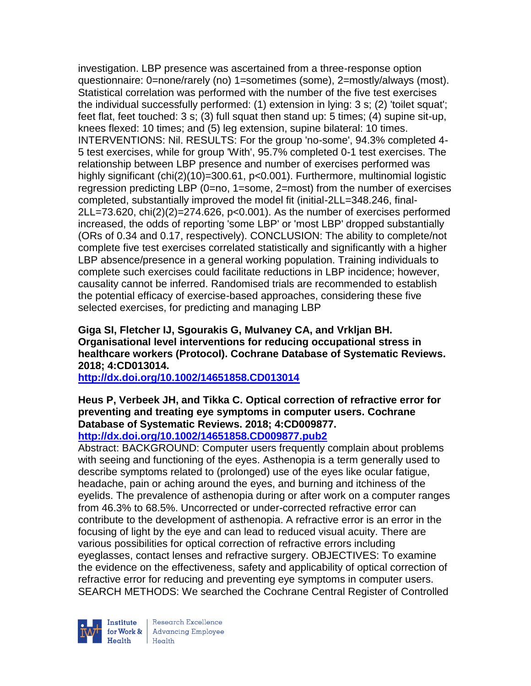investigation. LBP presence was ascertained from a three-response option questionnaire: 0=none/rarely (no) 1=sometimes (some), 2=mostly/always (most). Statistical correlation was performed with the number of the five test exercises the individual successfully performed: (1) extension in lying: 3 s; (2) 'toilet squat'; feet flat, feet touched: 3 s; (3) full squat then stand up: 5 times; (4) supine sit-up, knees flexed: 10 times; and (5) leg extension, supine bilateral: 10 times. INTERVENTIONS: Nil. RESULTS: For the group 'no-some', 94.3% completed 4- 5 test exercises, while for group 'With', 95.7% completed 0-1 test exercises. The relationship between LBP presence and number of exercises performed was highly significant (chi(2)(10)=300.61, p<0.001). Furthermore, multinomial logistic regression predicting LBP (0=no, 1=some, 2=most) from the number of exercises completed, substantially improved the model fit (initial-2LL=348.246, final-2LL=73.620, chi(2)(2)=274.626, p<0.001). As the number of exercises performed increased, the odds of reporting 'some LBP' or 'most LBP' dropped substantially (ORs of 0.34 and 0.17, respectively). CONCLUSION: The ability to complete/not complete five test exercises correlated statistically and significantly with a higher LBP absence/presence in a general working population. Training individuals to complete such exercises could facilitate reductions in LBP incidence; however, causality cannot be inferred. Randomised trials are recommended to establish the potential efficacy of exercise-based approaches, considering these five selected exercises, for predicting and managing LBP

**Giga SI, Fletcher IJ, Sgourakis G, Mulvaney CA, and Vrkljan BH. Organisational level interventions for reducing occupational stress in healthcare workers (Protocol). Cochrane Database of Systematic Reviews. 2018; 4:CD013014.**

**<http://dx.doi.org/10.1002/14651858.CD013014>**

# **Heus P, Verbeek JH, and Tikka C. Optical correction of refractive error for preventing and treating eye symptoms in computer users. Cochrane Database of Systematic Reviews. 2018; 4:CD009877.**

# **<http://dx.doi.org/10.1002/14651858.CD009877.pub2>**

Abstract: BACKGROUND: Computer users frequently complain about problems with seeing and functioning of the eyes. Asthenopia is a term generally used to describe symptoms related to (prolonged) use of the eyes like ocular fatigue, headache, pain or aching around the eyes, and burning and itchiness of the eyelids. The prevalence of asthenopia during or after work on a computer ranges from 46.3% to 68.5%. Uncorrected or under-corrected refractive error can contribute to the development of asthenopia. A refractive error is an error in the focusing of light by the eye and can lead to reduced visual acuity. There are various possibilities for optical correction of refractive errors including eyeglasses, contact lenses and refractive surgery. OBJECTIVES: To examine the evidence on the effectiveness, safety and applicability of optical correction of refractive error for reducing and preventing eye symptoms in computer users. SEARCH METHODS: We searched the Cochrane Central Register of Controlled

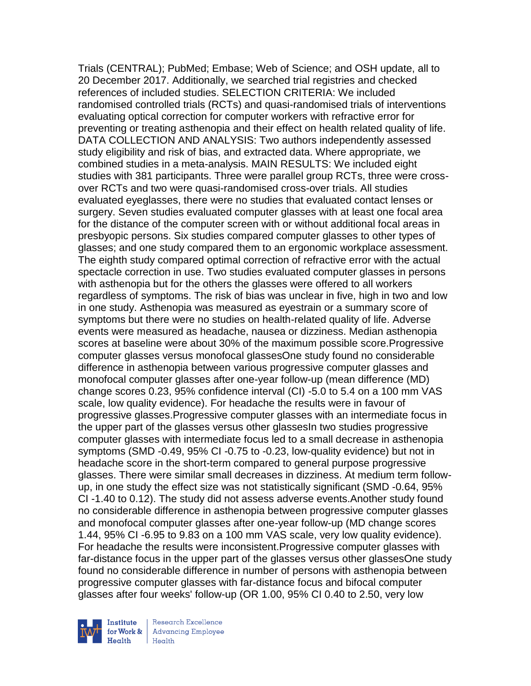Trials (CENTRAL); PubMed; Embase; Web of Science; and OSH update, all to 20 December 2017. Additionally, we searched trial registries and checked references of included studies. SELECTION CRITERIA: We included randomised controlled trials (RCTs) and quasi-randomised trials of interventions evaluating optical correction for computer workers with refractive error for preventing or treating asthenopia and their effect on health related quality of life. DATA COLLECTION AND ANALYSIS: Two authors independently assessed study eligibility and risk of bias, and extracted data. Where appropriate, we combined studies in a meta-analysis. MAIN RESULTS: We included eight studies with 381 participants. Three were parallel group RCTs, three were crossover RCTs and two were quasi-randomised cross-over trials. All studies evaluated eyeglasses, there were no studies that evaluated contact lenses or surgery. Seven studies evaluated computer glasses with at least one focal area for the distance of the computer screen with or without additional focal areas in presbyopic persons. Six studies compared computer glasses to other types of glasses; and one study compared them to an ergonomic workplace assessment. The eighth study compared optimal correction of refractive error with the actual spectacle correction in use. Two studies evaluated computer glasses in persons with asthenopia but for the others the glasses were offered to all workers regardless of symptoms. The risk of bias was unclear in five, high in two and low in one study. Asthenopia was measured as eyestrain or a summary score of symptoms but there were no studies on health-related quality of life. Adverse events were measured as headache, nausea or dizziness. Median asthenopia scores at baseline were about 30% of the maximum possible score.Progressive computer glasses versus monofocal glassesOne study found no considerable difference in asthenopia between various progressive computer glasses and monofocal computer glasses after one-year follow-up (mean difference (MD) change scores 0.23, 95% confidence interval (CI) -5.0 to 5.4 on a 100 mm VAS scale, low quality evidence). For headache the results were in favour of progressive glasses.Progressive computer glasses with an intermediate focus in the upper part of the glasses versus other glassesIn two studies progressive computer glasses with intermediate focus led to a small decrease in asthenopia symptoms (SMD -0.49, 95% CI -0.75 to -0.23, low-quality evidence) but not in headache score in the short-term compared to general purpose progressive glasses. There were similar small decreases in dizziness. At medium term followup, in one study the effect size was not statistically significant (SMD -0.64, 95% CI -1.40 to 0.12). The study did not assess adverse events.Another study found no considerable difference in asthenopia between progressive computer glasses and monofocal computer glasses after one-year follow-up (MD change scores 1.44, 95% CI -6.95 to 9.83 on a 100 mm VAS scale, very low quality evidence). For headache the results were inconsistent.Progressive computer glasses with far-distance focus in the upper part of the glasses versus other glassesOne study found no considerable difference in number of persons with asthenopia between progressive computer glasses with far-distance focus and bifocal computer glasses after four weeks' follow-up (OR 1.00, 95% CI 0.40 to 2.50, very low

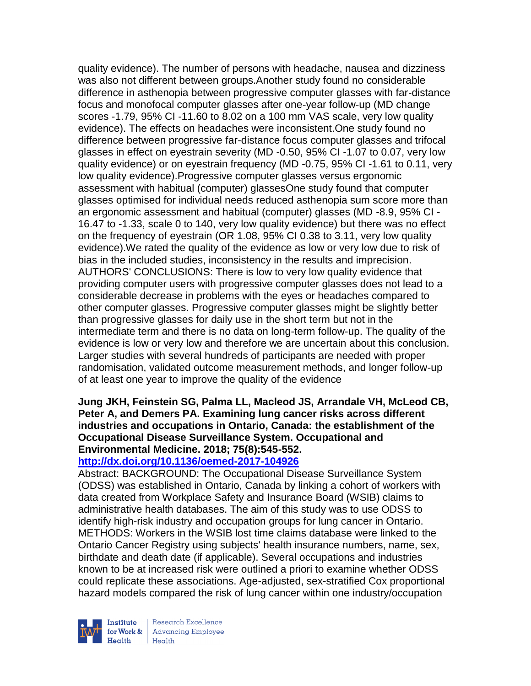quality evidence). The number of persons with headache, nausea and dizziness was also not different between groups.Another study found no considerable difference in asthenopia between progressive computer glasses with far-distance focus and monofocal computer glasses after one-year follow-up (MD change scores -1.79, 95% CI -11.60 to 8.02 on a 100 mm VAS scale, very low quality evidence). The effects on headaches were inconsistent.One study found no difference between progressive far-distance focus computer glasses and trifocal glasses in effect on eyestrain severity (MD -0.50, 95% CI -1.07 to 0.07, very low quality evidence) or on eyestrain frequency (MD -0.75, 95% CI -1.61 to 0.11, very low quality evidence).Progressive computer glasses versus ergonomic assessment with habitual (computer) glassesOne study found that computer glasses optimised for individual needs reduced asthenopia sum score more than an ergonomic assessment and habitual (computer) glasses (MD -8.9, 95% CI - 16.47 to -1.33, scale 0 to 140, very low quality evidence) but there was no effect on the frequency of eyestrain (OR 1.08, 95% CI 0.38 to 3.11, very low quality evidence).We rated the quality of the evidence as low or very low due to risk of bias in the included studies, inconsistency in the results and imprecision. AUTHORS' CONCLUSIONS: There is low to very low quality evidence that providing computer users with progressive computer glasses does not lead to a considerable decrease in problems with the eyes or headaches compared to other computer glasses. Progressive computer glasses might be slightly better than progressive glasses for daily use in the short term but not in the intermediate term and there is no data on long-term follow-up. The quality of the evidence is low or very low and therefore we are uncertain about this conclusion. Larger studies with several hundreds of participants are needed with proper randomisation, validated outcome measurement methods, and longer follow-up of at least one year to improve the quality of the evidence

## **Jung JKH, Feinstein SG, Palma LL, Macleod JS, Arrandale VH, McLeod CB, Peter A, and Demers PA. Examining lung cancer risks across different industries and occupations in Ontario, Canada: the establishment of the Occupational Disease Surveillance System. Occupational and Environmental Medicine. 2018; 75(8):545-552.**

## **<http://dx.doi.org/10.1136/oemed-2017-104926>**

Abstract: BACKGROUND: The Occupational Disease Surveillance System (ODSS) was established in Ontario, Canada by linking a cohort of workers with data created from Workplace Safety and Insurance Board (WSIB) claims to administrative health databases. The aim of this study was to use ODSS to identify high-risk industry and occupation groups for lung cancer in Ontario. METHODS: Workers in the WSIB lost time claims database were linked to the Ontario Cancer Registry using subjects' health insurance numbers, name, sex, birthdate and death date (if applicable). Several occupations and industries known to be at increased risk were outlined a priori to examine whether ODSS could replicate these associations. Age-adjusted, sex-stratified Cox proportional hazard models compared the risk of lung cancer within one industry/occupation

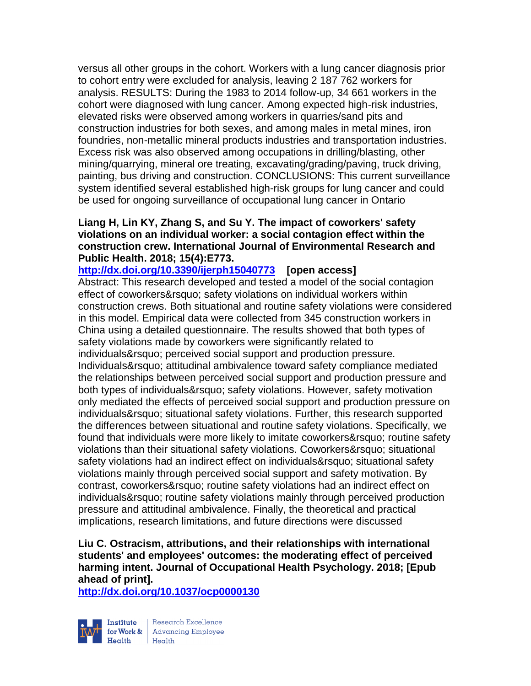versus all other groups in the cohort. Workers with a lung cancer diagnosis prior to cohort entry were excluded for analysis, leaving 2 187 762 workers for analysis. RESULTS: During the 1983 to 2014 follow-up, 34 661 workers in the cohort were diagnosed with lung cancer. Among expected high-risk industries, elevated risks were observed among workers in quarries/sand pits and construction industries for both sexes, and among males in metal mines, iron foundries, non-metallic mineral products industries and transportation industries. Excess risk was also observed among occupations in drilling/blasting, other mining/quarrying, mineral ore treating, excavating/grading/paving, truck driving, painting, bus driving and construction. CONCLUSIONS: This current surveillance system identified several established high-risk groups for lung cancer and could be used for ongoing surveillance of occupational lung cancer in Ontario

### **Liang H, Lin KY, Zhang S, and Su Y. The impact of coworkers' safety violations on an individual worker: a social contagion effect within the construction crew. International Journal of Environmental Research and Public Health. 2018; 15(4):E773.**

**<http://dx.doi.org/10.3390/ijerph15040773>[open access]** Abstract: This research developed and tested a model of the social contagion effect of coworkers' safety violations on individual workers within construction crews. Both situational and routine safety violations were considered in this model. Empirical data were collected from 345 construction workers in China using a detailed questionnaire. The results showed that both types of safety violations made by coworkers were significantly related to individuals' perceived social support and production pressure. Individuals' attitudinal ambivalence toward safety compliance mediated the relationships between perceived social support and production pressure and both types of individuals' safety violations. However, safety motivation only mediated the effects of perceived social support and production pressure on individuals' situational safety violations. Further, this research supported the differences between situational and routine safety violations. Specifically, we found that individuals were more likely to imitate coworkers' routine safety violations than their situational safety violations. Coworkers&rsquo: situational safety violations had an indirect effect on individuals' situational safety violations mainly through perceived social support and safety motivation. By contrast, coworkers' routine safety violations had an indirect effect on individuals' routine safety violations mainly through perceived production pressure and attitudinal ambivalence. Finally, the theoretical and practical implications, research limitations, and future directions were discussed

## **Liu C. Ostracism, attributions, and their relationships with international students' and employees' outcomes: the moderating effect of perceived harming intent. Journal of Occupational Health Psychology. 2018; [Epub ahead of print].**

**<http://dx.doi.org/10.1037/ocp0000130>**



Research Excellence Finantium Research Excellence<br>
Finantium Research Employee<br>
Realth Health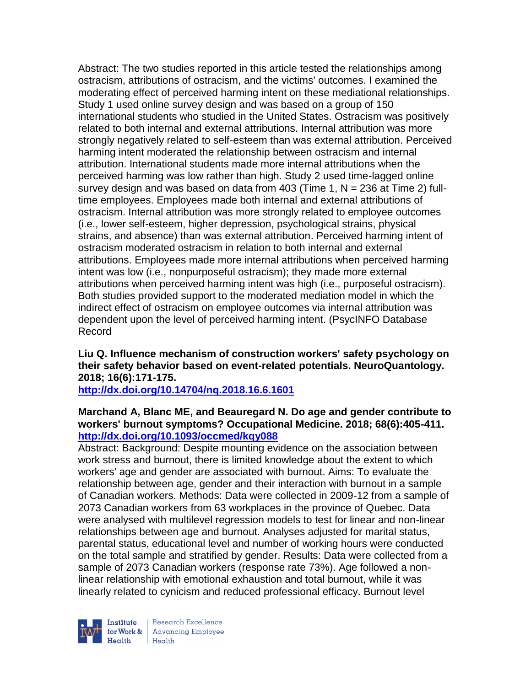Abstract: The two studies reported in this article tested the relationships among ostracism, attributions of ostracism, and the victims' outcomes. I examined the moderating effect of perceived harming intent on these mediational relationships. Study 1 used online survey design and was based on a group of 150 international students who studied in the United States. Ostracism was positively related to both internal and external attributions. Internal attribution was more strongly negatively related to self-esteem than was external attribution. Perceived harming intent moderated the relationship between ostracism and internal attribution. International students made more internal attributions when the perceived harming was low rather than high. Study 2 used time-lagged online survey design and was based on data from 403 (Time 1, N = 236 at Time 2) fulltime employees. Employees made both internal and external attributions of ostracism. Internal attribution was more strongly related to employee outcomes (i.e., lower self-esteem, higher depression, psychological strains, physical strains, and absence) than was external attribution. Perceived harming intent of ostracism moderated ostracism in relation to both internal and external attributions. Employees made more internal attributions when perceived harming intent was low (i.e., nonpurposeful ostracism); they made more external attributions when perceived harming intent was high (i.e., purposeful ostracism). Both studies provided support to the moderated mediation model in which the indirect effect of ostracism on employee outcomes via internal attribution was dependent upon the level of perceived harming intent. (PsycINFO Database Record

## **Liu Q. Influence mechanism of construction workers' safety psychology on their safety behavior based on event-related potentials. NeuroQuantology. 2018; 16(6):171-175.**

**<http://dx.doi.org/10.14704/nq.2018.16.6.1601>**

## **Marchand A, Blanc ME, and Beauregard N. Do age and gender contribute to workers' burnout symptoms? Occupational Medicine. 2018; 68(6):405-411. <http://dx.doi.org/10.1093/occmed/kqy088>**

Abstract: Background: Despite mounting evidence on the association between work stress and burnout, there is limited knowledge about the extent to which workers' age and gender are associated with burnout. Aims: To evaluate the relationship between age, gender and their interaction with burnout in a sample of Canadian workers. Methods: Data were collected in 2009-12 from a sample of 2073 Canadian workers from 63 workplaces in the province of Quebec. Data were analysed with multilevel regression models to test for linear and non-linear relationships between age and burnout. Analyses adjusted for marital status, parental status, educational level and number of working hours were conducted on the total sample and stratified by gender. Results: Data were collected from a sample of 2073 Canadian workers (response rate 73%). Age followed a nonlinear relationship with emotional exhaustion and total burnout, while it was linearly related to cynicism and reduced professional efficacy. Burnout level



Research Excellence for Work & | Advancing Employee  $H_{\text{each}}$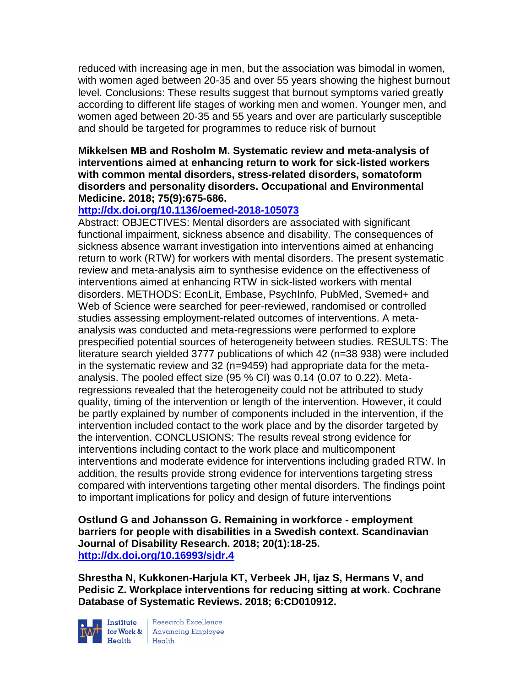reduced with increasing age in men, but the association was bimodal in women, with women aged between 20-35 and over 55 years showing the highest burnout level. Conclusions: These results suggest that burnout symptoms varied greatly according to different life stages of working men and women. Younger men, and women aged between 20-35 and 55 years and over are particularly susceptible and should be targeted for programmes to reduce risk of burnout

#### **Mikkelsen MB and Rosholm M. Systematic review and meta-analysis of interventions aimed at enhancing return to work for sick-listed workers with common mental disorders, stress-related disorders, somatoform disorders and personality disorders. Occupational and Environmental Medicine. 2018; 75(9):675-686.**

## **<http://dx.doi.org/10.1136/oemed-2018-105073>**

Abstract: OBJECTIVES: Mental disorders are associated with significant functional impairment, sickness absence and disability. The consequences of sickness absence warrant investigation into interventions aimed at enhancing return to work (RTW) for workers with mental disorders. The present systematic review and meta-analysis aim to synthesise evidence on the effectiveness of interventions aimed at enhancing RTW in sick-listed workers with mental disorders. METHODS: EconLit, Embase, PsychInfo, PubMed, Svemed+ and Web of Science were searched for peer-reviewed, randomised or controlled studies assessing employment-related outcomes of interventions. A metaanalysis was conducted and meta-regressions were performed to explore prespecified potential sources of heterogeneity between studies. RESULTS: The literature search yielded 3777 publications of which 42 (n=38 938) were included in the systematic review and 32 (n=9459) had appropriate data for the metaanalysis. The pooled effect size (95 % CI) was 0.14 (0.07 to 0.22). Metaregressions revealed that the heterogeneity could not be attributed to study quality, timing of the intervention or length of the intervention. However, it could be partly explained by number of components included in the intervention, if the intervention included contact to the work place and by the disorder targeted by the intervention. CONCLUSIONS: The results reveal strong evidence for interventions including contact to the work place and multicomponent interventions and moderate evidence for interventions including graded RTW. In addition, the results provide strong evidence for interventions targeting stress compared with interventions targeting other mental disorders. The findings point to important implications for policy and design of future interventions

**Ostlund G and Johansson G. Remaining in workforce - employment barriers for people with disabilities in a Swedish context. Scandinavian Journal of Disability Research. 2018; 20(1):18-25. <http://dx.doi.org/10.16993/sjdr.4>**

**Shrestha N, Kukkonen-Harjula KT, Verbeek JH, Ijaz S, Hermans V, and Pedisic Z. Workplace interventions for reducing sitting at work. Cochrane Database of Systematic Reviews. 2018; 6:CD010912.**



**Institute** Research Excellence<br> **for Work &** Advancing Employee<br> **Health** Health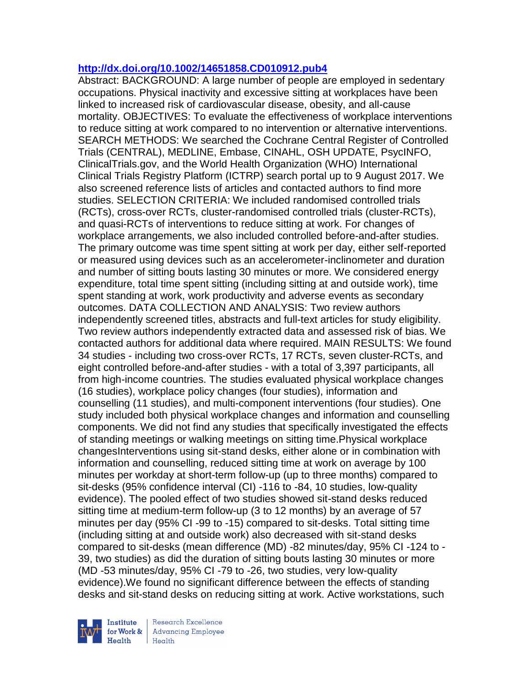#### **<http://dx.doi.org/10.1002/14651858.CD010912.pub4>**

Abstract: BACKGROUND: A large number of people are employed in sedentary occupations. Physical inactivity and excessive sitting at workplaces have been linked to increased risk of cardiovascular disease, obesity, and all-cause mortality. OBJECTIVES: To evaluate the effectiveness of workplace interventions to reduce sitting at work compared to no intervention or alternative interventions. SEARCH METHODS: We searched the Cochrane Central Register of Controlled Trials (CENTRAL), MEDLINE, Embase, CINAHL, OSH UPDATE, PsycINFO, ClinicalTrials.gov, and the World Health Organization (WHO) International Clinical Trials Registry Platform (ICTRP) search portal up to 9 August 2017. We also screened reference lists of articles and contacted authors to find more studies. SELECTION CRITERIA: We included randomised controlled trials (RCTs), cross-over RCTs, cluster-randomised controlled trials (cluster-RCTs), and quasi-RCTs of interventions to reduce sitting at work. For changes of workplace arrangements, we also included controlled before-and-after studies. The primary outcome was time spent sitting at work per day, either self-reported or measured using devices such as an accelerometer-inclinometer and duration and number of sitting bouts lasting 30 minutes or more. We considered energy expenditure, total time spent sitting (including sitting at and outside work), time spent standing at work, work productivity and adverse events as secondary outcomes. DATA COLLECTION AND ANALYSIS: Two review authors independently screened titles, abstracts and full-text articles for study eligibility. Two review authors independently extracted data and assessed risk of bias. We contacted authors for additional data where required. MAIN RESULTS: We found 34 studies - including two cross-over RCTs, 17 RCTs, seven cluster-RCTs, and eight controlled before-and-after studies - with a total of 3,397 participants, all from high-income countries. The studies evaluated physical workplace changes (16 studies), workplace policy changes (four studies), information and counselling (11 studies), and multi-component interventions (four studies). One study included both physical workplace changes and information and counselling components. We did not find any studies that specifically investigated the effects of standing meetings or walking meetings on sitting time.Physical workplace changesInterventions using sit-stand desks, either alone or in combination with information and counselling, reduced sitting time at work on average by 100 minutes per workday at short-term follow-up (up to three months) compared to sit-desks (95% confidence interval (CI) -116 to -84, 10 studies, low-quality evidence). The pooled effect of two studies showed sit-stand desks reduced sitting time at medium-term follow-up (3 to 12 months) by an average of 57 minutes per day (95% CI -99 to -15) compared to sit-desks. Total sitting time (including sitting at and outside work) also decreased with sit-stand desks compared to sit-desks (mean difference (MD) -82 minutes/day, 95% CI -124 to - 39, two studies) as did the duration of sitting bouts lasting 30 minutes or more (MD -53 minutes/day, 95% CI -79 to -26, two studies, very low-quality evidence).We found no significant difference between the effects of standing desks and sit-stand desks on reducing sitting at work. Active workstations, such

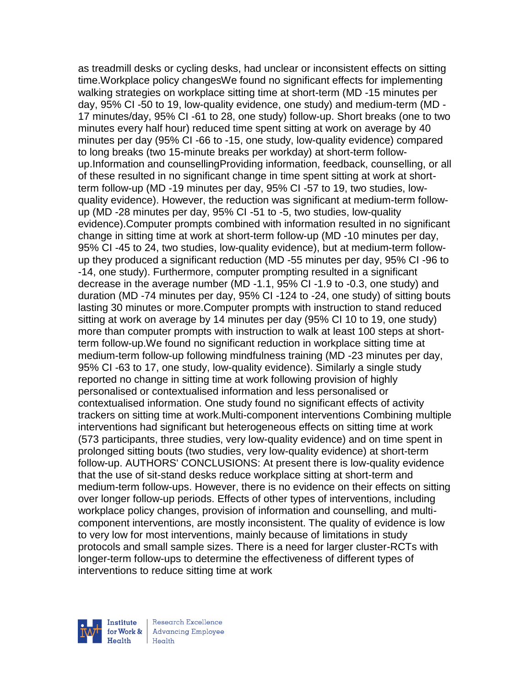as treadmill desks or cycling desks, had unclear or inconsistent effects on sitting time.Workplace policy changesWe found no significant effects for implementing walking strategies on workplace sitting time at short-term (MD -15 minutes per day, 95% CI -50 to 19, low-quality evidence, one study) and medium-term (MD - 17 minutes/day, 95% CI -61 to 28, one study) follow-up. Short breaks (one to two minutes every half hour) reduced time spent sitting at work on average by 40 minutes per day (95% CI -66 to -15, one study, low-quality evidence) compared to long breaks (two 15-minute breaks per workday) at short-term followup.Information and counsellingProviding information, feedback, counselling, or all of these resulted in no significant change in time spent sitting at work at shortterm follow-up (MD -19 minutes per day, 95% CI -57 to 19, two studies, lowquality evidence). However, the reduction was significant at medium-term followup (MD -28 minutes per day, 95% CI -51 to -5, two studies, low-quality evidence).Computer prompts combined with information resulted in no significant change in sitting time at work at short-term follow-up (MD -10 minutes per day, 95% CI -45 to 24, two studies, low-quality evidence), but at medium-term followup they produced a significant reduction (MD -55 minutes per day, 95% CI -96 to -14, one study). Furthermore, computer prompting resulted in a significant decrease in the average number (MD -1.1, 95% CI -1.9 to -0.3, one study) and duration (MD -74 minutes per day, 95% CI -124 to -24, one study) of sitting bouts lasting 30 minutes or more.Computer prompts with instruction to stand reduced sitting at work on average by 14 minutes per day (95% CI 10 to 19, one study) more than computer prompts with instruction to walk at least 100 steps at shortterm follow-up.We found no significant reduction in workplace sitting time at medium-term follow-up following mindfulness training (MD -23 minutes per day, 95% CI -63 to 17, one study, low-quality evidence). Similarly a single study reported no change in sitting time at work following provision of highly personalised or contextualised information and less personalised or contextualised information. One study found no significant effects of activity trackers on sitting time at work.Multi-component interventions Combining multiple interventions had significant but heterogeneous effects on sitting time at work (573 participants, three studies, very low-quality evidence) and on time spent in prolonged sitting bouts (two studies, very low-quality evidence) at short-term follow-up. AUTHORS' CONCLUSIONS: At present there is low-quality evidence that the use of sit-stand desks reduce workplace sitting at short-term and medium-term follow-ups. However, there is no evidence on their effects on sitting over longer follow-up periods. Effects of other types of interventions, including workplace policy changes, provision of information and counselling, and multicomponent interventions, are mostly inconsistent. The quality of evidence is low to very low for most interventions, mainly because of limitations in study protocols and small sample sizes. There is a need for larger cluster-RCTs with longer-term follow-ups to determine the effectiveness of different types of interventions to reduce sitting time at work

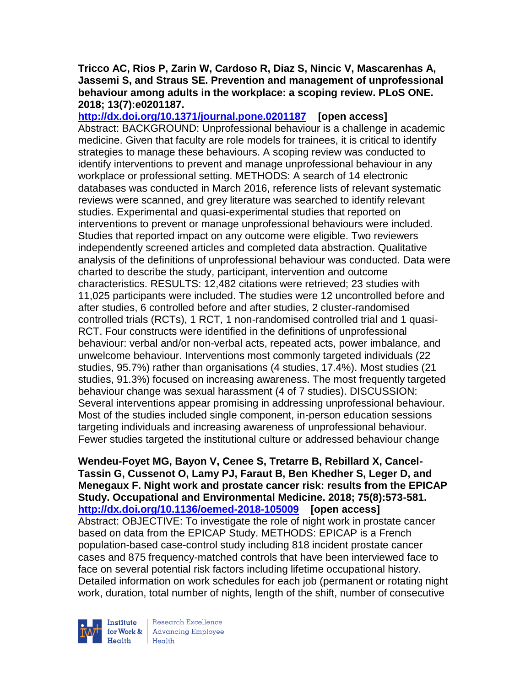### **Tricco AC, Rios P, Zarin W, Cardoso R, Diaz S, Nincic V, Mascarenhas A, Jassemi S, and Straus SE. Prevention and management of unprofessional behaviour among adults in the workplace: a scoping review. PLoS ONE. 2018; 13(7):e0201187.**

**<http://dx.doi.org/10.1371/journal.pone.0201187>[open access]** Abstract: BACKGROUND: Unprofessional behaviour is a challenge in academic medicine. Given that faculty are role models for trainees, it is critical to identify strategies to manage these behaviours. A scoping review was conducted to identify interventions to prevent and manage unprofessional behaviour in any workplace or professional setting. METHODS: A search of 14 electronic databases was conducted in March 2016, reference lists of relevant systematic reviews were scanned, and grey literature was searched to identify relevant studies. Experimental and quasi-experimental studies that reported on interventions to prevent or manage unprofessional behaviours were included. Studies that reported impact on any outcome were eligible. Two reviewers independently screened articles and completed data abstraction. Qualitative analysis of the definitions of unprofessional behaviour was conducted. Data were charted to describe the study, participant, intervention and outcome characteristics. RESULTS: 12,482 citations were retrieved; 23 studies with 11,025 participants were included. The studies were 12 uncontrolled before and after studies, 6 controlled before and after studies, 2 cluster-randomised controlled trials (RCTs), 1 RCT, 1 non-randomised controlled trial and 1 quasi-RCT. Four constructs were identified in the definitions of unprofessional behaviour: verbal and/or non-verbal acts, repeated acts, power imbalance, and unwelcome behaviour. Interventions most commonly targeted individuals (22 studies, 95.7%) rather than organisations (4 studies, 17.4%). Most studies (21 studies, 91.3%) focused on increasing awareness. The most frequently targeted behaviour change was sexual harassment (4 of 7 studies). DISCUSSION: Several interventions appear promising in addressing unprofessional behaviour. Most of the studies included single component, in-person education sessions targeting individuals and increasing awareness of unprofessional behaviour. Fewer studies targeted the institutional culture or addressed behaviour change

**Wendeu-Foyet MG, Bayon V, Cenee S, Tretarre B, Rebillard X, Cancel-Tassin G, Cussenot O, Lamy PJ, Faraut B, Ben Khedher S, Leger D, and Menegaux F. Night work and prostate cancer risk: results from the EPICAP Study. Occupational and Environmental Medicine. 2018; 75(8):573-581. <http://dx.doi.org/10.1136/oemed-2018-105009>[open access]** Abstract: OBJECTIVE: To investigate the role of night work in prostate cancer based on data from the EPICAP Study. METHODS: EPICAP is a French population-based case-control study including 818 incident prostate cancer cases and 875 frequency-matched controls that have been interviewed face to face on several potential risk factors including lifetime occupational history. Detailed information on work schedules for each job (permanent or rotating night work, duration, total number of nights, length of the shift, number of consecutive